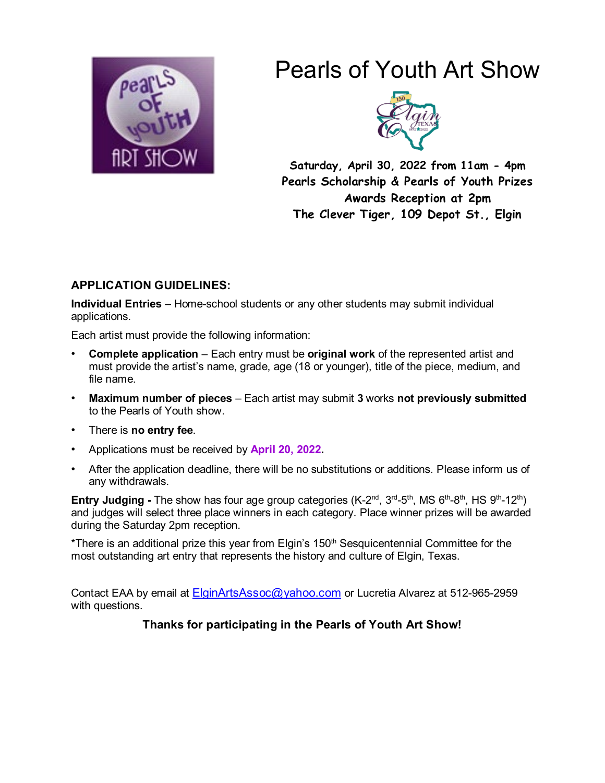

# Pearls of Youth Art Show



**Saturday, April 30, 2022 from 11am - 4pm Pearls Scholarship & Pearls of Youth Prizes Awards Reception at 2pm The Clever Tiger, 109 Depot St., Elgin**

## **APPLICATION GUIDELINES:**

**Individual Entries** – Home-school students or any other students may submit individual applications.

Each artist must provide the following information:

- **Complete application** Each entry must be **original work** of the represented artist and must provide the artist's name, grade, age (18 or younger), title of the piece, medium, and file name.
- **Maximum number of pieces** Each artist may submit **3** works **not previously submitted**  to the Pearls of Youth show.
- There is **no entry fee**.
- Applications must be received by **April 20, 2022.**
- After the application deadline, there will be no substitutions or additions. Please inform us of any withdrawals.

**Entry Judging - The show has four age group categories (K-2<sup>nd</sup>, 3<sup>rd</sup>-5<sup>th</sup>, MS 6<sup>th</sup>-8<sup>th</sup>, HS 9<sup>th</sup>-12<sup>th</sup>)** and judges will select three place winners in each category. Place winner prizes will be awarded during the Saturday 2pm reception.

\*There is an additional prize this year from Elgin's 150<sup>th</sup> Sesquicentennial Committee for the most outstanding art entry that represents the history and culture of Elgin, Texas.

Contact EAA by email at [ElginArtsAssoc@yahoo.com](mailto:ElginArtsAssoc@yahoo.com) or Lucretia Alvarez at 512-965-2959 with questions.

**Thanks for participating in the Pearls of Youth Art Show!**